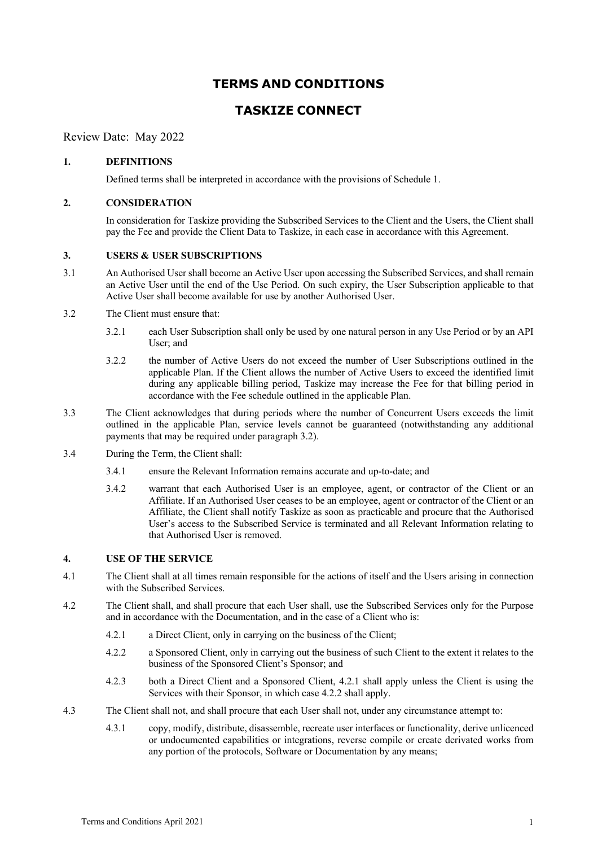# **TERMS AND CONDITIONS**

# **TASKIZE CONNECT**

Review Date: May 2022

# **1. DEFINITIONS**

Defined terms shall be interpreted in accordance with the provisions of Schedule 1.

## **2. CONSIDERATION**

In consideration for Taskize providing the Subscribed Services to the Client and the Users, the Client shall pay the Fee and provide the Client Data to Taskize, in each case in accordance with this Agreement.

# **3. USERS & USER SUBSCRIPTIONS**

- 3.1 An Authorised User shall become an Active User upon accessing the Subscribed Services, and shall remain an Active User until the end of the Use Period. On such expiry, the User Subscription applicable to that Active User shall become available for use by another Authorised User.
- 3.2 The Client must ensure that:
	- 3.2.1 each User Subscription shall only be used by one natural person in any Use Period or by an API User; and
	- 3.2.2 the number of Active Users do not exceed the number of User Subscriptions outlined in the applicable Plan. If the Client allows the number of Active Users to exceed the identified limit during any applicable billing period, Taskize may increase the Fee for that billing period in accordance with the Fee schedule outlined in the applicable Plan.
- 3.3 The Client acknowledges that during periods where the number of Concurrent Users exceeds the limit outlined in the applicable Plan, service levels cannot be guaranteed (notwithstanding any additional payments that may be required under paragraph 3.2).
- 3.4 During the Term, the Client shall:
	- 3.4.1 ensure the Relevant Information remains accurate and up-to-date; and
	- 3.4.2 warrant that each Authorised User is an employee, agent, or contractor of the Client or an Affiliate. If an Authorised User ceases to be an employee, agent or contractor of the Client or an Affiliate, the Client shall notify Taskize as soon as practicable and procure that the Authorised User's access to the Subscribed Service is terminated and all Relevant Information relating to that Authorised User is removed.

## **4. USE OF THE SERVICE**

- 4.1 The Client shall at all times remain responsible for the actions of itself and the Users arising in connection with the Subscribed Services.
- 4.2 The Client shall, and shall procure that each User shall, use the Subscribed Services only for the Purpose and in accordance with the Documentation, and in the case of a Client who is:
	- 4.2.1 a Direct Client, only in carrying on the business of the Client;
	- 4.2.2 a Sponsored Client, only in carrying out the business of such Client to the extent it relates to the business of the Sponsored Client's Sponsor; and
	- 4.2.3 both a Direct Client and a Sponsored Client, 4.2.1 shall apply unless the Client is using the Services with their Sponsor, in which case 4.2.2 shall apply.
- 4.3 The Client shall not, and shall procure that each User shall not, under any circumstance attempt to:
	- 4.3.1 copy, modify, distribute, disassemble, recreate user interfaces or functionality, derive unlicenced or undocumented capabilities or integrations, reverse compile or create derivated works from any portion of the protocols, Software or Documentation by any means;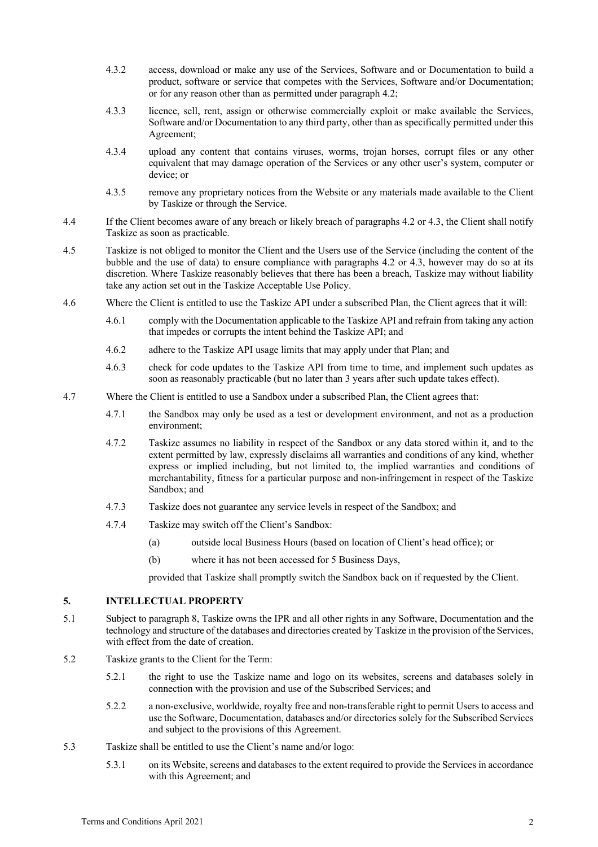- 4.3.2 access, download or make any use of the Services, Software and or Documentation to build a product, software or service that competes with the Services, Software and/or Documentation; or for any reason other than as permitted under paragraph 4.2;
- 4.3.3 licence, sell, rent, assign or otherwise commercially exploit or make available the Services, Software and/or Documentation to any third party, other than as specifically permitted under this Agreement;
- 4.3.4 upload any content that contains viruses, worms, trojan horses, corrupt files or any other equivalent that may damage operation of the Services or any other user's system, computer or device; or
- 4.3.5 remove any proprietary notices from the Website or any materials made available to the Client by Taskize or through the Service.
- 4.4 If the Client becomes aware of any breach or likely breach of paragraphs 4.2 or 4.3, the Client shall notify Taskize as soon as practicable.
- 4.5 Taskize is not obliged to monitor the Client and the Users use of the Service (including the content of the bubble and the use of data) to ensure compliance with paragraphs 4.2 or 4.3, however may do so at its discretion. Where Taskize reasonably believes that there has been a breach, Taskize may without liability take any action set out in the Taskize Acceptable Use Policy.
- 4.6 Where the Client is entitled to use the Taskize API under a subscribed Plan, the Client agrees that it will:
	- 4.6.1 comply with the Documentation applicable to the Taskize API and refrain from taking any action that impedes or corrupts the intent behind the Taskize API; and
	- 4.6.2 adhere to the Taskize API usage limits that may apply under that Plan; and
	- 4.6.3 check for code updates to the Taskize API from time to time, and implement such updates as soon as reasonably practicable (but no later than 3 years after such update takes effect).
- 4.7 Where the Client is entitled to use a Sandbox under a subscribed Plan, the Client agrees that:
	- 4.7.1 the Sandbox may only be used as a test or development environment, and not as a production environment;
	- 4.7.2 Taskize assumes no liability in respect of the Sandbox or any data stored within it, and to the extent permitted by law, expressly disclaims all warranties and conditions of any kind, whether express or implied including, but not limited to, the implied warranties and conditions of merchantability, fitness for a particular purpose and non-infringement in respect of the Taskize Sandbox; and
	- 4.7.3 Taskize does not guarantee any service levels in respect of the Sandbox; and
	- 4.7.4 Taskize may switch off the Client's Sandbox:
		- (a) outside local Business Hours (based on location of Client's head office); or
		- (b) where it has not been accessed for 5 Business Days,

provided that Taskize shall promptly switch the Sandbox back on if requested by the Client.

## **5. INTELLECTUAL PROPERTY**

- 5.1 Subject to paragraph 8, Taskize owns the IPR and all other rights in any Software, Documentation and the technology and structure of the databases and directories created by Taskize in the provision of the Services, with effect from the date of creation.
- 5.2 Taskize grants to the Client for the Term:
	- 5.2.1 the right to use the Taskize name and logo on its websites, screens and databases solely in connection with the provision and use of the Subscribed Services; and
	- 5.2.2 a non-exclusive, worldwide, royalty free and non-transferable right to permit Users to access and use the Software, Documentation, databases and/or directories solely for the Subscribed Services and subject to the provisions of this Agreement.
- 5.3 Taskize shall be entitled to use the Client's name and/or logo:
	- 5.3.1 on its Website, screens and databases to the extent required to provide the Services in accordance with this Agreement; and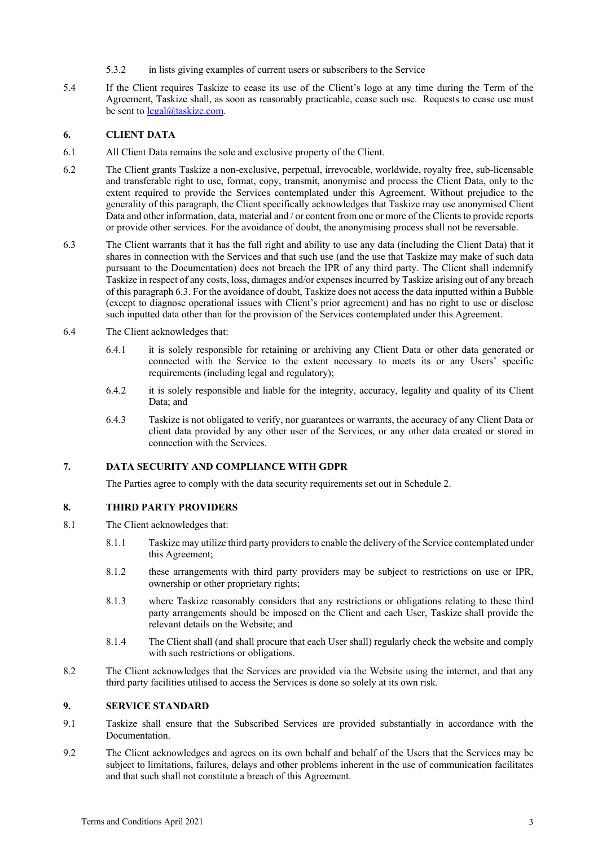- 5.3.2 in lists giving examples of current users or subscribers to the Service
- 5.4 If the Client requires Taskize to cease its use of the Client's logo at any time during the Term of the Agreement, Taskize shall, as soon as reasonably practicable, cease such use. Requests to cease use must be sent to legal@taskize.com.

# **6. CLIENT DATA**

- 6.1 All Client Data remains the sole and exclusive property of the Client.
- 6.2 The Client grants Taskize a non-exclusive, perpetual, irrevocable, worldwide, royalty free, sub-licensable and transferable right to use, format, copy, transmit, anonymise and process the Client Data, only to the extent required to provide the Services contemplated under this Agreement. Without prejudice to the generality of this paragraph, the Client specifically acknowledges that Taskize may use anonymised Client Data and other information, data, material and / or content from one or more of the Clients to provide reports or provide other services. For the avoidance of doubt, the anonymising process shall not be reversable.
- 6.3 The Client warrants that it has the full right and ability to use any data (including the Client Data) that it shares in connection with the Services and that such use (and the use that Taskize may make of such data pursuant to the Documentation) does not breach the IPR of any third party. The Client shall indemnify Taskize in respect of any costs, loss, damages and/or expenses incurred by Taskize arising out of any breach of this paragraph 6.3. For the avoidance of doubt, Taskize does not access the data inputted within a Bubble (except to diagnose operational issues with Client's prior agreement) and has no right to use or disclose such inputted data other than for the provision of the Services contemplated under this Agreement.
- 6.4 The Client acknowledges that:
	- 6.4.1 it is solely responsible for retaining or archiving any Client Data or other data generated or connected with the Service to the extent necessary to meets its or any Users' specific requirements (including legal and regulatory);
	- 6.4.2 it is solely responsible and liable for the integrity, accuracy, legality and quality of its Client Data; and
	- 6.4.3 Taskize is not obligated to verify, nor guarantees or warrants, the accuracy of any Client Data or client data provided by any other user of the Services, or any other data created or stored in connection with the Services.

## **7. DATA SECURITY AND COMPLIANCE WITH GDPR**

The Parties agree to comply with the data security requirements set out in Schedule 2.

## **8. THIRD PARTY PROVIDERS**

- 8.1 The Client acknowledges that:
	- 8.1.1 Taskize may utilize third party providersto enable the delivery of the Service contemplated under this Agreement;
	- 8.1.2 these arrangements with third party providers may be subject to restrictions on use or IPR, ownership or other proprietary rights;
	- 8.1.3 where Taskize reasonably considers that any restrictions or obligations relating to these third party arrangements should be imposed on the Client and each User, Taskize shall provide the relevant details on the Website; and
	- 8.1.4 The Client shall (and shall procure that each User shall) regularly check the website and comply with such restrictions or obligations.
- 8.2 The Client acknowledges that the Services are provided via the Website using the internet, and that any third party facilities utilised to access the Services is done so solely at its own risk.

## **9. SERVICE STANDARD**

- 9.1 Taskize shall ensure that the Subscribed Services are provided substantially in accordance with the Documentation.
- 9.2 The Client acknowledges and agrees on its own behalf and behalf of the Users that the Services may be subject to limitations, failures, delays and other problems inherent in the use of communication facilitates and that such shall not constitute a breach of this Agreement.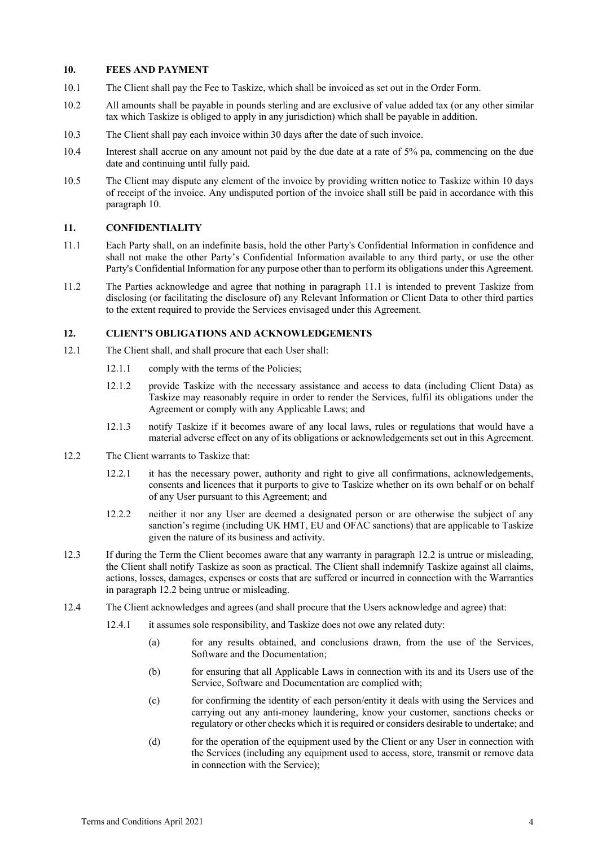#### **10. FEES AND PAYMENT**

- 10.1 The Client shall pay the Fee to Taskize, which shall be invoiced as set out in the Order Form.
- 10.2 All amounts shall be payable in pounds sterling and are exclusive of value added tax (or any other similar tax which Taskize is obliged to apply in any jurisdiction) which shall be payable in addition.
- 10.3 The Client shall pay each invoice within 30 days after the date of such invoice.
- 10.4 Interest shall accrue on any amount not paid by the due date at a rate of 5% pa, commencing on the due date and continuing until fully paid.
- 10.5 The Client may dispute any element of the invoice by providing written notice to Taskize within 10 days of receipt of the invoice. Any undisputed portion of the invoice shall still be paid in accordance with this paragraph 10.

#### **11. CONFIDENTIALITY**

- 11.1 Each Party shall, on an indefinite basis, hold the other Party's Confidential Information in confidence and shall not make the other Party's Confidential Information available to any third party, or use the other Party's Confidential Information for any purpose other than to perform its obligations under this Agreement.
- 11.2 The Parties acknowledge and agree that nothing in paragraph 11.1 is intended to prevent Taskize from disclosing (or facilitating the disclosure of) any Relevant Information or Client Data to other third parties to the extent required to provide the Services envisaged under this Agreement.

#### **12. CLIENT'S OBLIGATIONS AND ACKNOWLEDGEMENTS**

- 12.1 The Client shall, and shall procure that each User shall:
	- 12.1.1 comply with the terms of the Policies;
	- 12.1.2 provide Taskize with the necessary assistance and access to data (including Client Data) as Taskize may reasonably require in order to render the Services, fulfil its obligations under the Agreement or comply with any Applicable Laws; and
	- 12.1.3 notify Taskize if it becomes aware of any local laws, rules or regulations that would have a material adverse effect on any of its obligations or acknowledgements set out in this Agreement.
- 12.2 The Client warrants to Taskize that:
	- 12.2.1 it has the necessary power, authority and right to give all confirmations, acknowledgements, consents and licences that it purports to give to Taskize whether on its own behalf or on behalf of any User pursuant to this Agreement; and
	- 12.2.2 neither it nor any User are deemed a designated person or are otherwise the subject of any sanction's regime (including UK HMT, EU and OFAC sanctions) that are applicable to Taskize given the nature of its business and activity.
- 12.3 If during the Term the Client becomes aware that any warranty in paragraph 12.2 is untrue or misleading, the Client shall notify Taskize as soon as practical. The Client shall indemnify Taskize against all claims, actions, losses, damages, expenses or costs that are suffered or incurred in connection with the Warranties in paragraph 12.2 being untrue or misleading.
- 12.4 The Client acknowledges and agrees (and shall procure that the Users acknowledge and agree) that:
	- 12.4.1 it assumes sole responsibility, and Taskize does not owe any related duty:
		- (a) for any results obtained, and conclusions drawn, from the use of the Services, Software and the Documentation;
		- (b) for ensuring that all Applicable Laws in connection with its and its Users use of the Service, Software and Documentation are complied with;
		- (c) for confirming the identity of each person/entity it deals with using the Services and carrying out any anti-money laundering, know your customer, sanctions checks or regulatory or other checks which it is required or considers desirable to undertake; and
		- (d) for the operation of the equipment used by the Client or any User in connection with the Services (including any equipment used to access, store, transmit or remove data in connection with the Service);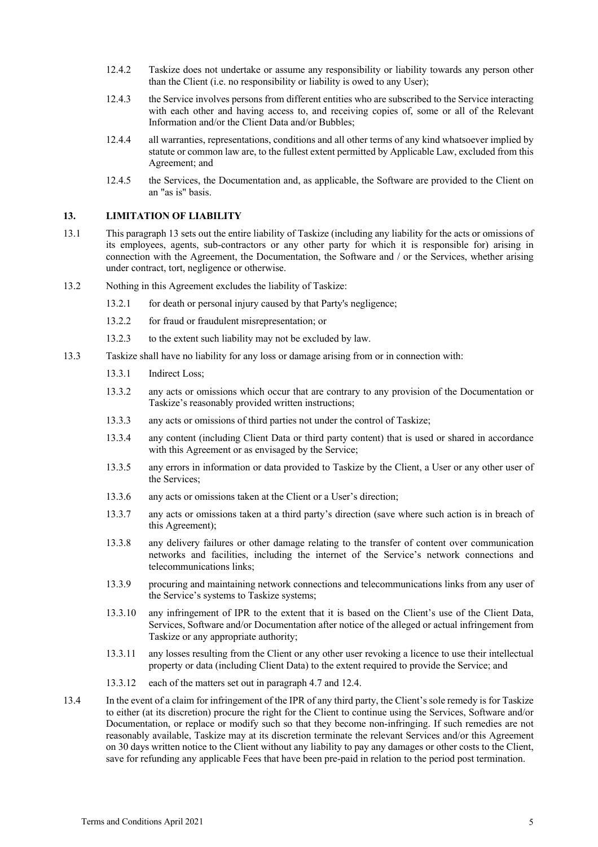- 12.4.2 Taskize does not undertake or assume any responsibility or liability towards any person other than the Client (i.e. no responsibility or liability is owed to any User);
- 12.4.3 the Service involves persons from different entities who are subscribed to the Service interacting with each other and having access to, and receiving copies of, some or all of the Relevant Information and/or the Client Data and/or Bubbles;
- 12.4.4 all warranties, representations, conditions and all other terms of any kind whatsoever implied by statute or common law are, to the fullest extent permitted by Applicable Law, excluded from this Agreement; and
- 12.4.5 the Services, the Documentation and, as applicable, the Software are provided to the Client on an "as is" basis.

# **13. LIMITATION OF LIABILITY**

- 13.1 This paragraph 13 sets out the entire liability of Taskize (including any liability for the acts or omissions of its employees, agents, sub-contractors or any other party for which it is responsible for) arising in connection with the Agreement, the Documentation, the Software and / or the Services, whether arising under contract, tort, negligence or otherwise.
- 13.2 Nothing in this Agreement excludes the liability of Taskize:
	- 13.2.1 for death or personal injury caused by that Party's negligence;
	- 13.2.2 for fraud or fraudulent misrepresentation; or
	- 13.2.3 to the extent such liability may not be excluded by law.
- 13.3 Taskize shall have no liability for any loss or damage arising from or in connection with:
	- 13.3.1 Indirect Loss;
	- 13.3.2 any acts or omissions which occur that are contrary to any provision of the Documentation or Taskize's reasonably provided written instructions;
	- 13.3.3 any acts or omissions of third parties not under the control of Taskize;
	- 13.3.4 any content (including Client Data or third party content) that is used or shared in accordance with this Agreement or as envisaged by the Service;
	- 13.3.5 any errors in information or data provided to Taskize by the Client, a User or any other user of the Services;
	- 13.3.6 any acts or omissions taken at the Client or a User's direction;
	- 13.3.7 any acts or omissions taken at a third party's direction (save where such action is in breach of this Agreement);
	- 13.3.8 any delivery failures or other damage relating to the transfer of content over communication networks and facilities, including the internet of the Service's network connections and telecommunications links;
	- 13.3.9 procuring and maintaining network connections and telecommunications links from any user of the Service's systems to Taskize systems;
	- 13.3.10 any infringement of IPR to the extent that it is based on the Client's use of the Client Data, Services, Software and/or Documentation after notice of the alleged or actual infringement from Taskize or any appropriate authority;
	- 13.3.11 any losses resulting from the Client or any other user revoking a licence to use their intellectual property or data (including Client Data) to the extent required to provide the Service; and
	- 13.3.12 each of the matters set out in paragraph 4.7 and 12.4.
- 13.4 In the event of a claim for infringement of the IPR of any third party, the Client's sole remedy is for Taskize to either (at its discretion) procure the right for the Client to continue using the Services, Software and/or Documentation, or replace or modify such so that they become non-infringing. If such remedies are not reasonably available, Taskize may at its discretion terminate the relevant Services and/or this Agreement on 30 days written notice to the Client without any liability to pay any damages or other costs to the Client, save for refunding any applicable Fees that have been pre-paid in relation to the period post termination.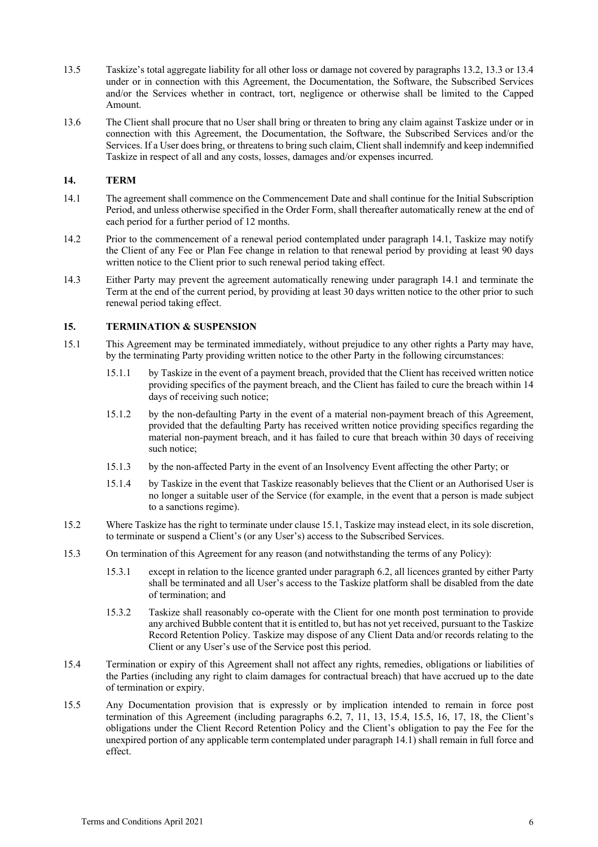- 13.5 Taskize's total aggregate liability for all other loss or damage not covered by paragraphs 13.2, 13.3 or 13.4 under or in connection with this Agreement, the Documentation, the Software, the Subscribed Services and/or the Services whether in contract, tort, negligence or otherwise shall be limited to the Capped Amount.
- 13.6 The Client shall procure that no User shall bring or threaten to bring any claim against Taskize under or in connection with this Agreement, the Documentation, the Software, the Subscribed Services and/or the Services. If a User does bring, or threatens to bring such claim, Client shall indemnify and keep indemnified Taskize in respect of all and any costs, losses, damages and/or expenses incurred.

# **14. TERM**

- 14.1 The agreement shall commence on the Commencement Date and shall continue for the Initial Subscription Period, and unless otherwise specified in the Order Form, shall thereafter automatically renew at the end of each period for a further period of 12 months.
- 14.2 Prior to the commencement of a renewal period contemplated under paragraph 14.1, Taskize may notify the Client of any Fee or Plan Fee change in relation to that renewal period by providing at least 90 days written notice to the Client prior to such renewal period taking effect.
- 14.3 Either Party may prevent the agreement automatically renewing under paragraph 14.1 and terminate the Term at the end of the current period, by providing at least 30 days written notice to the other prior to such renewal period taking effect.

# **15. TERMINATION & SUSPENSION**

- 15.1 This Agreement may be terminated immediately, without prejudice to any other rights a Party may have, by the terminating Party providing written notice to the other Party in the following circumstances:
	- 15.1.1 by Taskize in the event of a payment breach, provided that the Client has received written notice providing specifics of the payment breach, and the Client has failed to cure the breach within 14 days of receiving such notice;
	- 15.1.2 by the non-defaulting Party in the event of a material non-payment breach of this Agreement, provided that the defaulting Party has received written notice providing specifics regarding the material non-payment breach, and it has failed to cure that breach within 30 days of receiving such notice;
	- 15.1.3 by the non-affected Party in the event of an Insolvency Event affecting the other Party; or
	- 15.1.4 by Taskize in the event that Taskize reasonably believes that the Client or an Authorised User is no longer a suitable user of the Service (for example, in the event that a person is made subject to a sanctions regime).
- 15.2 Where Taskize has the right to terminate under clause 15.1, Taskize may instead elect, in its sole discretion, to terminate or suspend a Client's (or any User's) access to the Subscribed Services.
- 15.3 On termination of this Agreement for any reason (and notwithstanding the terms of any Policy):
	- 15.3.1 except in relation to the licence granted under paragraph 6.2, all licences granted by either Party shall be terminated and all User's access to the Taskize platform shall be disabled from the date of termination; and
	- 15.3.2 Taskize shall reasonably co-operate with the Client for one month post termination to provide any archived Bubble content that it is entitled to, but has not yet received, pursuant to the Taskize Record Retention Policy. Taskize may dispose of any Client Data and/or records relating to the Client or any User's use of the Service post this period.
- 15.4 Termination or expiry of this Agreement shall not affect any rights, remedies, obligations or liabilities of the Parties (including any right to claim damages for contractual breach) that have accrued up to the date of termination or expiry.
- 15.5 Any Documentation provision that is expressly or by implication intended to remain in force post termination of this Agreement (including paragraphs 6.2, 7, 11, 13, 15.4, 15.5, 16, 17, 18, the Client's obligations under the Client Record Retention Policy and the Client's obligation to pay the Fee for the unexpired portion of any applicable term contemplated under paragraph 14.1) shall remain in full force and effect.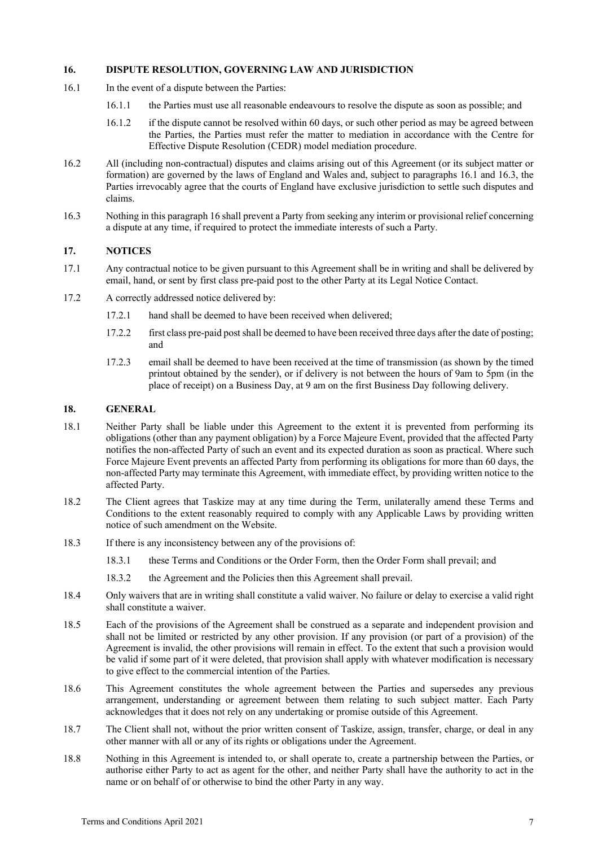## **16. DISPUTE RESOLUTION, GOVERNING LAW AND JURISDICTION**

- 16.1 In the event of a dispute between the Parties:
	- 16.1.1 the Parties must use all reasonable endeavours to resolve the dispute as soon as possible; and
	- 16.1.2 if the dispute cannot be resolved within 60 days, or such other period as may be agreed between the Parties, the Parties must refer the matter to mediation in accordance with the Centre for Effective Dispute Resolution (CEDR) model mediation procedure.
- 16.2 All (including non-contractual) disputes and claims arising out of this Agreement (or its subject matter or formation) are governed by the laws of England and Wales and, subject to paragraphs 16.1 and 16.3, the Parties irrevocably agree that the courts of England have exclusive jurisdiction to settle such disputes and claims.
- 16.3 Nothing in this paragraph 16 shall prevent a Party from seeking any interim or provisional relief concerning a dispute at any time, if required to protect the immediate interests of such a Party.

# **17. NOTICES**

- 17.1 Any contractual notice to be given pursuant to this Agreement shall be in writing and shall be delivered by email, hand, or sent by first class pre-paid post to the other Party at its Legal Notice Contact.
- 17.2 A correctly addressed notice delivered by:
	- 17.2.1 hand shall be deemed to have been received when delivered;
	- 17.2.2 first class pre-paid post shall be deemed to have been received three days after the date of posting; and
	- 17.2.3 email shall be deemed to have been received at the time of transmission (as shown by the timed printout obtained by the sender), or if delivery is not between the hours of 9am to 5pm (in the place of receipt) on a Business Day, at 9 am on the first Business Day following delivery.

## **18. GENERAL**

- 18.1 Neither Party shall be liable under this Agreement to the extent it is prevented from performing its obligations (other than any payment obligation) by a Force Majeure Event, provided that the affected Party notifies the non-affected Party of such an event and its expected duration as soon as practical. Where such Force Majeure Event prevents an affected Party from performing its obligations for more than 60 days, the non-affected Party may terminate this Agreement, with immediate effect, by providing written notice to the affected Party.
- 18.2 The Client agrees that Taskize may at any time during the Term, unilaterally amend these Terms and Conditions to the extent reasonably required to comply with any Applicable Laws by providing written notice of such amendment on the Website.
- 18.3 If there is any inconsistency between any of the provisions of:
	- 18.3.1 these Terms and Conditions or the Order Form, then the Order Form shall prevail; and
	- 18.3.2 the Agreement and the Policies then this Agreement shall prevail.
- 18.4 Only waivers that are in writing shall constitute a valid waiver. No failure or delay to exercise a valid right shall constitute a waiver.
- 18.5 Each of the provisions of the Agreement shall be construed as a separate and independent provision and shall not be limited or restricted by any other provision. If any provision (or part of a provision) of the Agreement is invalid, the other provisions will remain in effect. To the extent that such a provision would be valid if some part of it were deleted, that provision shall apply with whatever modification is necessary to give effect to the commercial intention of the Parties.
- 18.6 This Agreement constitutes the whole agreement between the Parties and supersedes any previous arrangement, understanding or agreement between them relating to such subject matter. Each Party acknowledges that it does not rely on any undertaking or promise outside of this Agreement.
- 18.7 The Client shall not, without the prior written consent of Taskize, assign, transfer, charge, or deal in any other manner with all or any of its rights or obligations under the Agreement.
- 18.8 Nothing in this Agreement is intended to, or shall operate to, create a partnership between the Parties, or authorise either Party to act as agent for the other, and neither Party shall have the authority to act in the name or on behalf of or otherwise to bind the other Party in any way.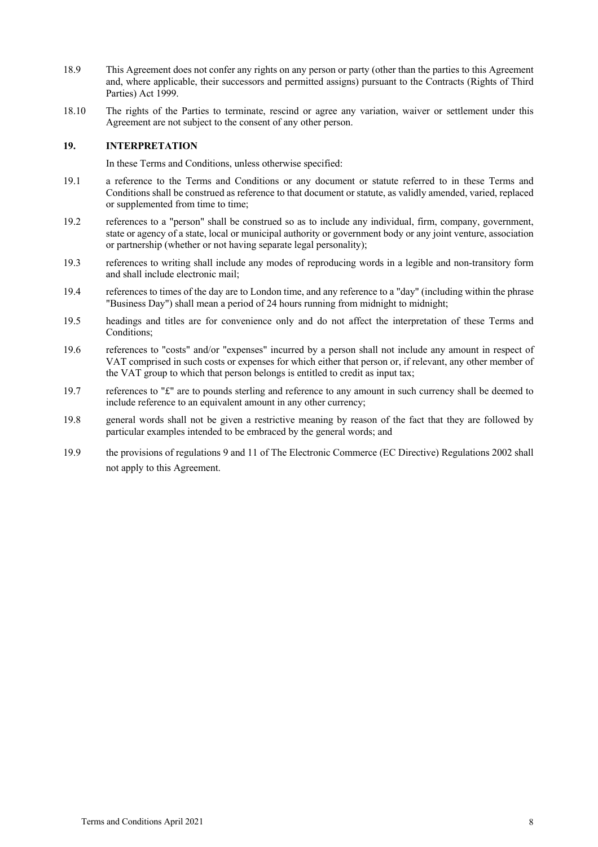- 18.9 This Agreement does not confer any rights on any person or party (other than the parties to this Agreement and, where applicable, their successors and permitted assigns) pursuant to the Contracts (Rights of Third Parties) Act 1999.
- 18.10 The rights of the Parties to terminate, rescind or agree any variation, waiver or settlement under this Agreement are not subject to the consent of any other person.

#### **19. INTERPRETATION**

In these Terms and Conditions, unless otherwise specified:

- 19.1 a reference to the Terms and Conditions or any document or statute referred to in these Terms and Conditions shall be construed as reference to that document or statute, as validly amended, varied, replaced or supplemented from time to time;
- 19.2 references to a "person" shall be construed so as to include any individual, firm, company, government, state or agency of a state, local or municipal authority or government body or any joint venture, association or partnership (whether or not having separate legal personality);
- 19.3 references to writing shall include any modes of reproducing words in a legible and non-transitory form and shall include electronic mail;
- 19.4 references to times of the day are to London time, and any reference to a "day" (including within the phrase "Business Day") shall mean a period of 24 hours running from midnight to midnight;
- 19.5 headings and titles are for convenience only and do not affect the interpretation of these Terms and Conditions;
- 19.6 references to "costs" and/or "expenses" incurred by a person shall not include any amount in respect of VAT comprised in such costs or expenses for which either that person or, if relevant, any other member of the VAT group to which that person belongs is entitled to credit as input tax;
- 19.7 references to "£" are to pounds sterling and reference to any amount in such currency shall be deemed to include reference to an equivalent amount in any other currency;
- 19.8 general words shall not be given a restrictive meaning by reason of the fact that they are followed by particular examples intended to be embraced by the general words; and
- 19.9 the provisions of regulations 9 and 11 of The Electronic Commerce (EC Directive) Regulations 2002 shall not apply to this Agreement.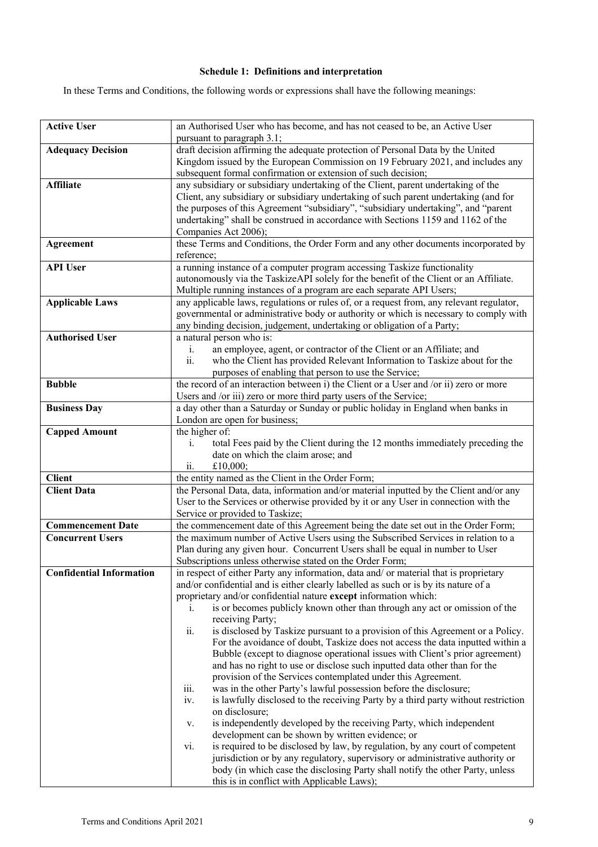# **Schedule 1: Definitions and interpretation**

In these Terms and Conditions, the following words or expressions shall have the following meanings:

| <b>Active User</b>              | an Authorised User who has become, and has not ceased to be, an Active User<br>pursuant to paragraph 3.1;                                                                                                                           |
|---------------------------------|-------------------------------------------------------------------------------------------------------------------------------------------------------------------------------------------------------------------------------------|
| <b>Adequacy Decision</b>        | draft decision affirming the adequate protection of Personal Data by the United<br>Kingdom issued by the European Commission on 19 February 2021, and includes any<br>subsequent formal confirmation or extension of such decision; |
| <b>Affiliate</b>                | any subsidiary or subsidiary undertaking of the Client, parent undertaking of the                                                                                                                                                   |
|                                 | Client, any subsidiary or subsidiary undertaking of such parent undertaking (and for                                                                                                                                                |
|                                 | the purposes of this Agreement "subsidiary", "subsidiary undertaking", and "parent                                                                                                                                                  |
|                                 | undertaking" shall be construed in accordance with Sections 1159 and 1162 of the                                                                                                                                                    |
|                                 | Companies Act 2006);                                                                                                                                                                                                                |
| Agreement                       | these Terms and Conditions, the Order Form and any other documents incorporated by<br>reference;                                                                                                                                    |
| <b>API User</b>                 | a running instance of a computer program accessing Taskize functionality                                                                                                                                                            |
|                                 | autonomously via the TaskizeAPI solely for the benefit of the Client or an Affiliate.                                                                                                                                               |
| <b>Applicable Laws</b>          | Multiple running instances of a program are each separate API Users;<br>any applicable laws, regulations or rules of, or a request from, any relevant regulator,                                                                    |
|                                 | governmental or administrative body or authority or which is necessary to comply with                                                                                                                                               |
|                                 | any binding decision, judgement, undertaking or obligation of a Party;                                                                                                                                                              |
| <b>Authorised User</b>          | a natural person who is:                                                                                                                                                                                                            |
|                                 | an employee, agent, or contractor of the Client or an Affiliate; and<br>i.                                                                                                                                                          |
|                                 | ii.<br>who the Client has provided Relevant Information to Taskize about for the                                                                                                                                                    |
|                                 | purposes of enabling that person to use the Service;                                                                                                                                                                                |
| <b>Bubble</b>                   | the record of an interaction between i) the Client or a User and /or ii) zero or more                                                                                                                                               |
| <b>Business Day</b>             | Users and /or iii) zero or more third party users of the Service;<br>a day other than a Saturday or Sunday or public holiday in England when banks in                                                                               |
|                                 | London are open for business;                                                                                                                                                                                                       |
| <b>Capped Amount</b>            | the higher of:                                                                                                                                                                                                                      |
|                                 | total Fees paid by the Client during the 12 months immediately preceding the<br>$\mathbf{i}$ .                                                                                                                                      |
|                                 | date on which the claim arose; and                                                                                                                                                                                                  |
|                                 | £10,000;<br>ii.                                                                                                                                                                                                                     |
| <b>Client</b>                   | the entity named as the Client in the Order Form;                                                                                                                                                                                   |
| <b>Client Data</b>              | the Personal Data, data, information and/or material inputted by the Client and/or any<br>User to the Services or otherwise provided by it or any User in connection with the                                                       |
|                                 | Service or provided to Taskize;                                                                                                                                                                                                     |
| <b>Commencement Date</b>        | the commencement date of this Agreement being the date set out in the Order Form;                                                                                                                                                   |
| <b>Concurrent Users</b>         | the maximum number of Active Users using the Subscribed Services in relation to a                                                                                                                                                   |
|                                 | Plan during any given hour. Concurrent Users shall be equal in number to User                                                                                                                                                       |
|                                 | Subscriptions unless otherwise stated on the Order Form;                                                                                                                                                                            |
| <b>Confidential Information</b> | in respect of either Party any information, data and/ or material that is proprietary                                                                                                                                               |
|                                 | and/or confidential and is either clearly labelled as such or is by its nature of a                                                                                                                                                 |
|                                 | proprietary and/or confidential nature except information which:<br>is or becomes publicly known other than through any act or omission of the<br>1.                                                                                |
|                                 | receiving Party;                                                                                                                                                                                                                    |
|                                 | ii.<br>is disclosed by Taskize pursuant to a provision of this Agreement or a Policy.                                                                                                                                               |
|                                 | For the avoidance of doubt, Taskize does not access the data inputted within a                                                                                                                                                      |
|                                 | Bubble (except to diagnose operational issues with Client's prior agreement)                                                                                                                                                        |
|                                 | and has no right to use or disclose such inputted data other than for the                                                                                                                                                           |
|                                 | provision of the Services contemplated under this Agreement.                                                                                                                                                                        |
|                                 | iii.<br>was in the other Party's lawful possession before the disclosure;<br>is lawfully disclosed to the receiving Party by a third party without restriction<br>iv.                                                               |
|                                 | on disclosure;                                                                                                                                                                                                                      |
|                                 | is independently developed by the receiving Party, which independent<br>v.                                                                                                                                                          |
|                                 | development can be shown by written evidence; or                                                                                                                                                                                    |
|                                 | is required to be disclosed by law, by regulation, by any court of competent<br>vi.                                                                                                                                                 |
|                                 | jurisdiction or by any regulatory, supervisory or administrative authority or                                                                                                                                                       |
|                                 | body (in which case the disclosing Party shall notify the other Party, unless<br>this is in conflict with Applicable Laws);                                                                                                         |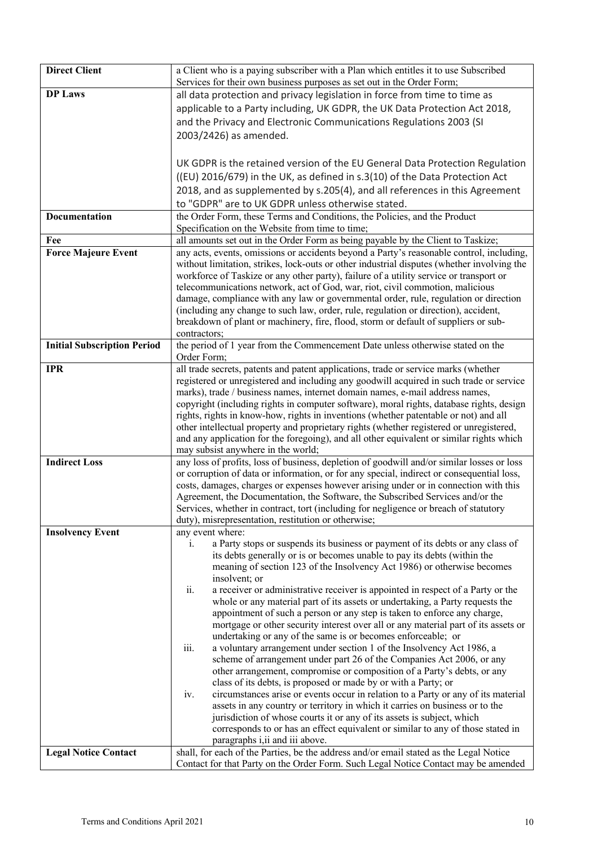| <b>Direct Client</b>               | a Client who is a paying subscriber with a Plan which entitles it to use Subscribed<br>Services for their own business purposes as set out in the Order Form;                       |
|------------------------------------|-------------------------------------------------------------------------------------------------------------------------------------------------------------------------------------|
| <b>DP Laws</b>                     | all data protection and privacy legislation in force from time to time as                                                                                                           |
|                                    | applicable to a Party including, UK GDPR, the UK Data Protection Act 2018,                                                                                                          |
|                                    | and the Privacy and Electronic Communications Regulations 2003 (SI                                                                                                                  |
|                                    | 2003/2426) as amended.                                                                                                                                                              |
|                                    |                                                                                                                                                                                     |
|                                    | UK GDPR is the retained version of the EU General Data Protection Regulation                                                                                                        |
|                                    | ((EU) 2016/679) in the UK, as defined in s.3(10) of the Data Protection Act                                                                                                         |
|                                    | 2018, and as supplemented by s.205(4), and all references in this Agreement                                                                                                         |
|                                    | to "GDPR" are to UK GDPR unless otherwise stated.                                                                                                                                   |
| Documentation                      | the Order Form, these Terms and Conditions, the Policies, and the Product                                                                                                           |
|                                    | Specification on the Website from time to time;                                                                                                                                     |
| Fee                                | all amounts set out in the Order Form as being payable by the Client to Taskize;                                                                                                    |
| <b>Force Majeure Event</b>         | any acts, events, omissions or accidents beyond a Party's reasonable control, including,                                                                                            |
|                                    | without limitation, strikes, lock-outs or other industrial disputes (whether involving the                                                                                          |
|                                    | workforce of Taskize or any other party), failure of a utility service or transport or                                                                                              |
|                                    | telecommunications network, act of God, war, riot, civil commotion, malicious<br>damage, compliance with any law or governmental order, rule, regulation or direction               |
|                                    | (including any change to such law, order, rule, regulation or direction), accident,                                                                                                 |
|                                    | breakdown of plant or machinery, fire, flood, storm or default of suppliers or sub-                                                                                                 |
|                                    | contractors;                                                                                                                                                                        |
| <b>Initial Subscription Period</b> | the period of 1 year from the Commencement Date unless otherwise stated on the                                                                                                      |
|                                    | Order Form;                                                                                                                                                                         |
| <b>IPR</b>                         | all trade secrets, patents and patent applications, trade or service marks (whether                                                                                                 |
|                                    | registered or unregistered and including any goodwill acquired in such trade or service                                                                                             |
|                                    | marks), trade / business names, internet domain names, e-mail address names,                                                                                                        |
|                                    | copyright (including rights in computer software), moral rights, database rights, design                                                                                            |
|                                    | rights, rights in know-how, rights in inventions (whether patentable or not) and all                                                                                                |
|                                    | other intellectual property and proprietary rights (whether registered or unregistered,<br>and any application for the foregoing), and all other equivalent or similar rights which |
|                                    | may subsist anywhere in the world;                                                                                                                                                  |
| <b>Indirect Loss</b>               | any loss of profits, loss of business, depletion of goodwill and/or similar losses or loss                                                                                          |
|                                    | or corruption of data or information, or for any special, indirect or consequential loss,                                                                                           |
|                                    | costs, damages, charges or expenses however arising under or in connection with this                                                                                                |
|                                    | Agreement, the Documentation, the Software, the Subscribed Services and/or the                                                                                                      |
|                                    | Services, whether in contract, tort (including for negligence or breach of statutory                                                                                                |
|                                    | duty), misrepresentation, restitution or otherwise;                                                                                                                                 |
| <b>Insolvency Event</b>            | any event where:                                                                                                                                                                    |
|                                    | a Party stops or suspends its business or payment of its debts or any class of<br>1.<br>its debts generally or is or becomes unable to pay its debts (within the                    |
|                                    | meaning of section 123 of the Insolvency Act 1986) or otherwise becomes                                                                                                             |
|                                    | insolvent; or                                                                                                                                                                       |
|                                    | ii.<br>a receiver or administrative receiver is appointed in respect of a Party or the                                                                                              |
|                                    | whole or any material part of its assets or undertaking, a Party requests the                                                                                                       |
|                                    | appointment of such a person or any step is taken to enforce any charge,                                                                                                            |
|                                    | mortgage or other security interest over all or any material part of its assets or                                                                                                  |
|                                    | undertaking or any of the same is or becomes enforceable; or                                                                                                                        |
|                                    | a voluntary arrangement under section 1 of the Insolvency Act 1986, a<br>iii.                                                                                                       |
|                                    | scheme of arrangement under part 26 of the Companies Act 2006, or any                                                                                                               |
|                                    | other arrangement, compromise or composition of a Party's debts, or any<br>class of its debts, is proposed or made by or with a Party; or                                           |
|                                    | circumstances arise or events occur in relation to a Party or any of its material<br>iv.                                                                                            |
|                                    | assets in any country or territory in which it carries on business or to the                                                                                                        |
|                                    | jurisdiction of whose courts it or any of its assets is subject, which                                                                                                              |
|                                    | corresponds to or has an effect equivalent or similar to any of those stated in                                                                                                     |
|                                    | paragraphs <i>i, ii</i> and <i>iii</i> above.                                                                                                                                       |
| <b>Legal Notice Contact</b>        | shall, for each of the Parties, be the address and/or email stated as the Legal Notice                                                                                              |
|                                    | Contact for that Party on the Order Form. Such Legal Notice Contact may be amended                                                                                                  |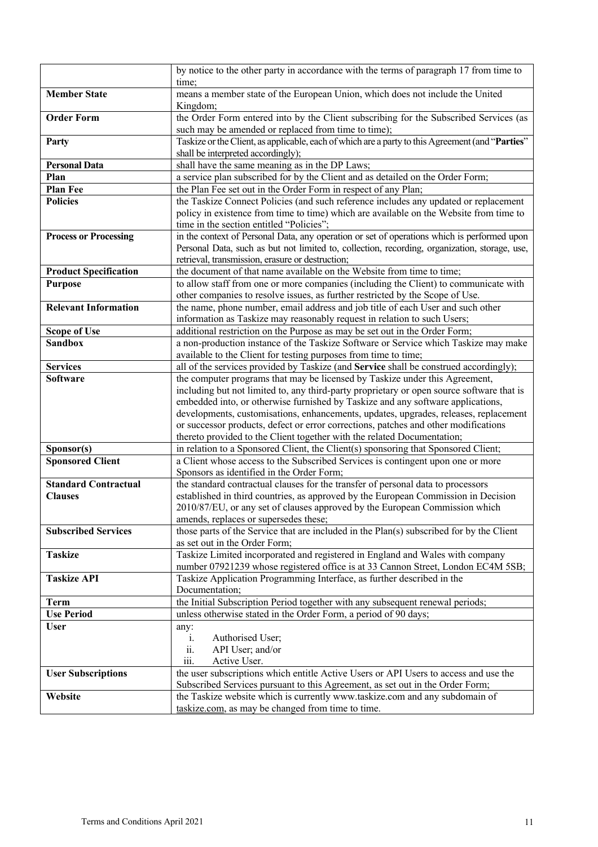|                              | by notice to the other party in accordance with the terms of paragraph 17 from time to           |
|------------------------------|--------------------------------------------------------------------------------------------------|
|                              | time;                                                                                            |
| <b>Member State</b>          | means a member state of the European Union, which does not include the United                    |
|                              | Kingdom;                                                                                         |
| <b>Order Form</b>            | the Order Form entered into by the Client subscribing for the Subscribed Services (as            |
|                              | such may be amended or replaced from time to time);                                              |
| Party                        | Taskize or the Client, as applicable, each of which are a party to this Agreement (and "Parties" |
|                              | shall be interpreted accordingly);                                                               |
| <b>Personal Data</b>         | shall have the same meaning as in the DP Laws;                                                   |
| Plan                         | a service plan subscribed for by the Client and as detailed on the Order Form;                   |
| Plan Fee                     | the Plan Fee set out in the Order Form in respect of any Plan;                                   |
| <b>Policies</b>              | the Taskize Connect Policies (and such reference includes any updated or replacement             |
|                              | policy in existence from time to time) which are available on the Website from time to           |
|                              | time in the section entitled "Policies";                                                         |
| <b>Process or Processing</b> | in the context of Personal Data, any operation or set of operations which is performed upon      |
|                              | Personal Data, such as but not limited to, collection, recording, organization, storage, use,    |
|                              | retrieval, transmission, erasure or destruction;                                                 |
| <b>Product Specification</b> | the document of that name available on the Website from time to time;                            |
| <b>Purpose</b>               | to allow staff from one or more companies (including the Client) to communicate with             |
|                              | other companies to resolve issues, as further restricted by the Scope of Use.                    |
| <b>Relevant Information</b>  | the name, phone number, email address and job title of each User and such other                  |
|                              | information as Taskize may reasonably request in relation to such Users;                         |
| <b>Scope of Use</b>          | additional restriction on the Purpose as may be set out in the Order Form;                       |
| <b>Sandbox</b>               | a non-production instance of the Taskize Software or Service which Taskize may make              |
|                              | available to the Client for testing purposes from time to time;                                  |
| <b>Services</b>              | all of the services provided by Taskize (and Service shall be construed accordingly);            |
| <b>Software</b>              | the computer programs that may be licensed by Taskize under this Agreement,                      |
|                              | including but not limited to, any third-party proprietary or open source software that is        |
|                              | embedded into, or otherwise furnished by Taskize and any software applications,                  |
|                              | developments, customisations, enhancements, updates, upgrades, releases, replacement             |
|                              | or successor products, defect or error corrections, patches and other modifications              |
|                              | thereto provided to the Client together with the related Documentation;                          |
| Sponsor(s)                   | in relation to a Sponsored Client, the Client(s) sponsoring that Sponsored Client;               |
| <b>Sponsored Client</b>      | a Client whose access to the Subscribed Services is contingent upon one or more                  |
|                              | Sponsors as identified in the Order Form;                                                        |
| <b>Standard Contractual</b>  | the standard contractual clauses for the transfer of personal data to processors                 |
| <b>Clauses</b>               | established in third countries, as approved by the European Commission in Decision               |
|                              | 2010/87/EU, or any set of clauses approved by the European Commission which                      |
|                              | amends, replaces or supersedes these;                                                            |
| <b>Subscribed Services</b>   | those parts of the Service that are included in the Plan(s) subscribed for by the Client         |
|                              | as set out in the Order Form;                                                                    |
| <b>Taskize</b>               | Taskize Limited incorporated and registered in England and Wales with company                    |
|                              | number 07921239 whose registered office is at 33 Cannon Street, London EC4M 5SB;                 |
| <b>Taskize API</b>           | Taskize Application Programming Interface, as further described in the                           |
|                              | Documentation;                                                                                   |
| Term                         | the Initial Subscription Period together with any subsequent renewal periods;                    |
| <b>Use Period</b>            | unless otherwise stated in the Order Form, a period of 90 days;                                  |
| <b>User</b>                  | any:                                                                                             |
|                              | i.<br>Authorised User;                                                                           |
|                              | ii.<br>API User; and/or                                                                          |
|                              | Active User.<br>iii.                                                                             |
| <b>User Subscriptions</b>    | the user subscriptions which entitle Active Users or API Users to access and use the             |
|                              | Subscribed Services pursuant to this Agreement, as set out in the Order Form;                    |
| Website                      | the Taskize website which is currently www.taskize.com and any subdomain of                      |
|                              | taskize.com, as may be changed from time to time.                                                |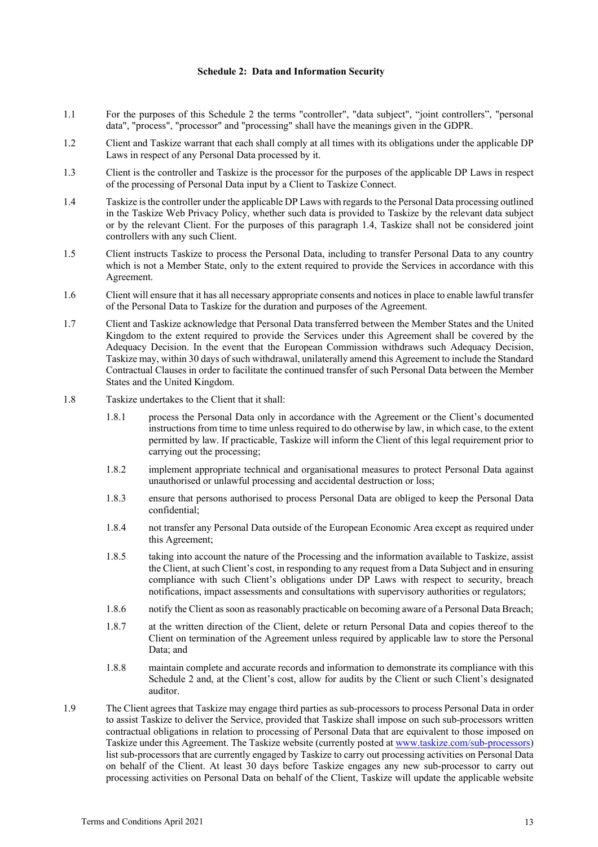#### **Schedule 2: Data and Information Security**

- 1.1 For the purposes of this Schedule 2 the terms "controller", "data subject", "joint controllers", "personal data", "process", "processor" and "processing" shall have the meanings given in the GDPR.
- 1.2 Client and Taskize warrant that each shall comply at all times with its obligations under the applicable DP Laws in respect of any Personal Data processed by it.
- 1.3 Client is the controller and Taskize is the processor for the purposes of the applicable DP Laws in respect of the processing of Personal Data input by a Client to Taskize Connect.
- 1.4 Taskize is the controller under the applicable DP Laws with regards to the Personal Data processing outlined in the Taskize Web Privacy Policy, whether such data is provided to Taskize by the relevant data subject or by the relevant Client. For the purposes of this paragraph 1.4, Taskize shall not be considered joint controllers with any such Client.
- 1.5 Client instructs Taskize to process the Personal Data, including to transfer Personal Data to any country which is not a Member State, only to the extent required to provide the Services in accordance with this Agreement.
- 1.6 Client will ensure that it has all necessary appropriate consents and notices in place to enable lawful transfer of the Personal Data to Taskize for the duration and purposes of the Agreement.
- 1.7 Client and Taskize acknowledge that Personal Data transferred between the Member States and the United Kingdom to the extent required to provide the Services under this Agreement shall be covered by the Adequacy Decision. In the event that the European Commission withdraws such Adequacy Decision, Taskize may, within 30 days of such withdrawal, unilaterally amend this Agreement to include the Standard Contractual Clauses in order to facilitate the continued transfer of such Personal Data between the Member States and the United Kingdom.
- 1.8 Taskize undertakes to the Client that it shall:
	- 1.8.1 process the Personal Data only in accordance with the Agreement or the Client's documented instructions from time to time unless required to do otherwise by law, in which case, to the extent permitted by law. If practicable, Taskize will inform the Client of this legal requirement prior to carrying out the processing;
	- 1.8.2 implement appropriate technical and organisational measures to protect Personal Data against unauthorised or unlawful processing and accidental destruction or loss;
	- 1.8.3 ensure that persons authorised to process Personal Data are obliged to keep the Personal Data confidential;
	- 1.8.4 not transfer any Personal Data outside of the European Economic Area except as required under this Agreement;
	- 1.8.5 taking into account the nature of the Processing and the information available to Taskize, assist the Client, at such Client's cost, in responding to any request from a Data Subject and in ensuring compliance with such Client's obligations under DP Laws with respect to security, breach notifications, impact assessments and consultations with supervisory authorities or regulators;
	- 1.8.6 notify the Client as soon as reasonably practicable on becoming aware of a Personal Data Breach;
	- 1.8.7 at the written direction of the Client, delete or return Personal Data and copies thereof to the Client on termination of the Agreement unless required by applicable law to store the Personal Data; and
	- 1.8.8 maintain complete and accurate records and information to demonstrate its compliance with this Schedule 2 and, at the Client's cost, allow for audits by the Client or such Client's designated auditor.
- 1.9 The Client agrees that Taskize may engage third parties as sub-processors to process Personal Data in order to assist Taskize to deliver the Service, provided that Taskize shall impose on such sub-processors written contractual obligations in relation to processing of Personal Data that are equivalent to those imposed on Taskize under this Agreement. The Taskize website (currently posted at www.taskize.com/sub-processors) list sub-processors that are currently engaged by Taskize to carry out processing activities on Personal Data on behalf of the Client. At least 30 days before Taskize engages any new sub-processor to carry out processing activities on Personal Data on behalf of the Client, Taskize will update the applicable website